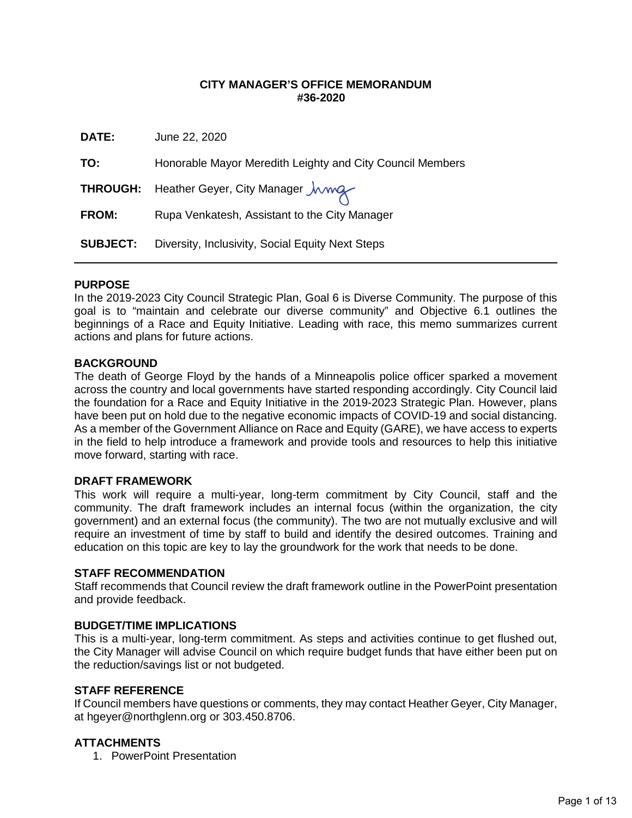### **CITY MANAGER'S OFFICE MEMORANDUM #36-2020**

| DATE:           | June 22, 2020                                             |
|-----------------|-----------------------------------------------------------|
| TO:             | Honorable Mayor Meredith Leighty and City Council Members |
|                 | THROUGH: Heather Geyer, City Manager <i>Jumg</i>          |
| <b>FROM:</b>    | Rupa Venkatesh, Assistant to the City Manager             |
| <b>SUBJECT:</b> | Diversity, Inclusivity, Social Equity Next Steps          |

### **PURPOSE**

In the 2019-2023 City Council Strategic Plan, Goal 6 is Diverse Community. The purpose of this goal is to "maintain and celebrate our diverse community" and Objective 6.1 outlines the beginnings of a Race and Equity Initiative. Leading with race, this memo summarizes current actions and plans for future actions.

#### **BACKGROUND**

The death of George Floyd by the hands of a Minneapolis police officer sparked a movement across the country and local governments have started responding accordingly. City Council laid the foundation for a Race and Equity Initiative in the 2019-2023 Strategic Plan. However, plans have been put on hold due to the negative economic impacts of COVID-19 and social distancing. As a member of the Government Alliance on Race and Equity (GARE), we have access to experts in the field to help introduce a framework and provide tools and resources to help this initiative move forward, starting with race.

#### **DRAFT FRAMEWORK**

This work will require a multi-year, long-term commitment by City Council, staff and the community. The draft framework includes an internal focus (within the organization, the city government) and an external focus (the community). The two are not mutually exclusive and will require an investment of time by staff to build and identify the desired outcomes. Training and education on this topic are key to lay the groundwork for the work that needs to be done.

#### **STAFF RECOMMENDATION**

Staff recommends that Council review the draft framework outline in the PowerPoint presentation and provide feedback.

#### **BUDGET/TIME IMPLICATIONS**

This is a multi-year, long-term commitment. As steps and activities continue to get flushed out, the City Manager will advise Council on which require budget funds that have either been put on the reduction/savings list or not budgeted.

#### **STAFF REFERENCE**

If Council members have questions or comments, they may contact Heather Geyer, City Manager, at [hgeyer@northglenn.org o](mailto:hgeyer@northglenn.org)r 303.450.8706.

### **ATTACHMENTS**

1. PowerPoint Presentation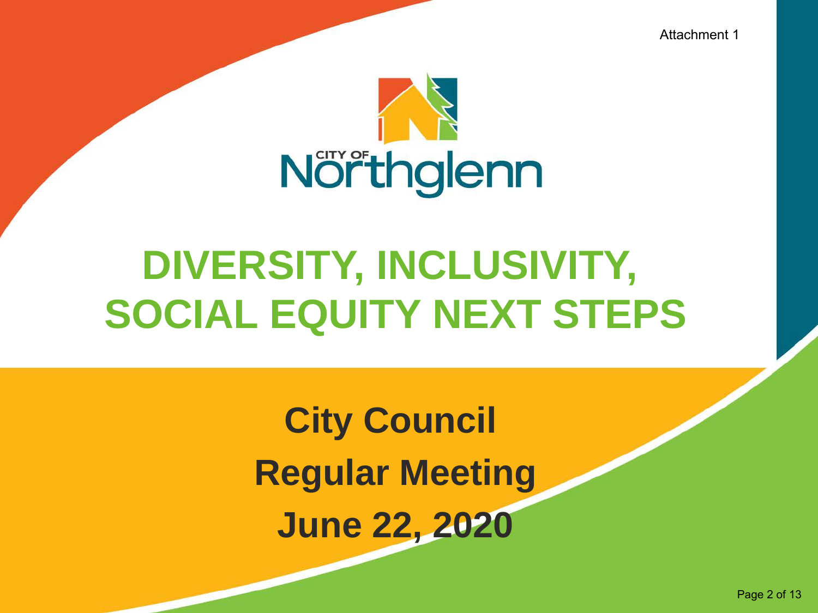Attachment 1



## **DIVERSITY, INCLUSIVITY, SOCIAL EQUITY NEXT STEPS**

**City Council Regular Meeting June 22, 2020**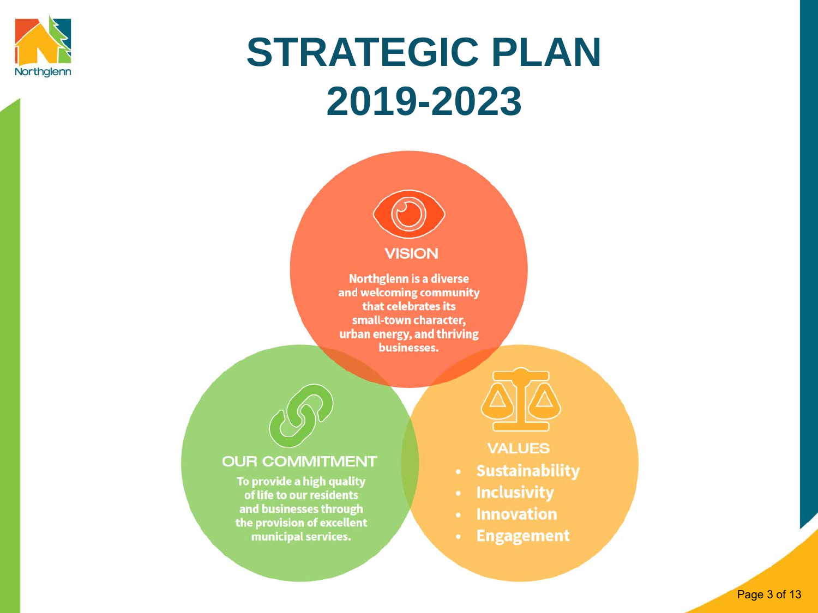

## **STRATEGIC PLAN 2019-2023**

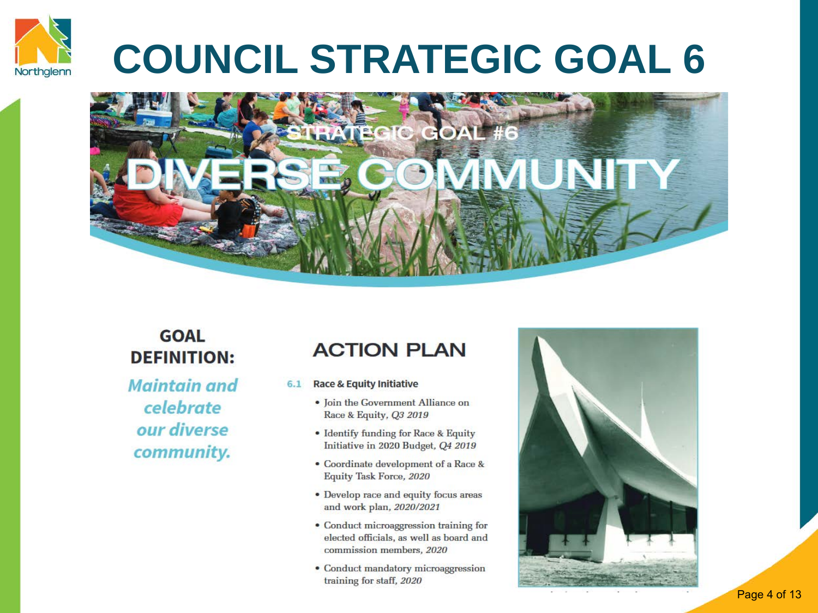

## **COUNCIL STRATEGIC GOAL 6**



### **GOAL DEFINITION:**

**Maintain and** celebrate our diverse community.

### **ACTION PLAN**

- **Race & Equity Initiative**  $6.1$ 
	- · Join the Government Alliance on Race & Equity, Q3 2019
	- Identify funding for Race & Equity Initiative in 2020 Budget, Q4 2019
	- Coordinate development of a Race & Equity Task Force, 2020
	- Develop race and equity focus areas and work plan, 2020/2021
	- Conduct microaggression training for elected officials, as well as board and commission members, 2020
	- Conduct mandatory microaggression training for staff, 2020



Page 4 of 13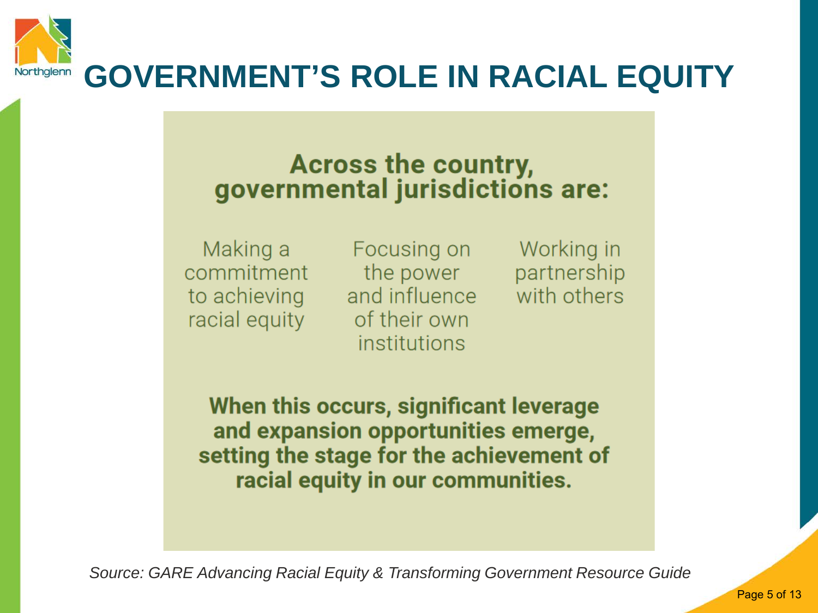

### **Across the country,** governmental jurisdictions are:

Making a commitment to achieving racial equity

Focusing on the power and influence of their own institutions

Working in partnership with others

When this occurs, significant leverage and expansion opportunities emerge, setting the stage for the achievement of racial equity in our communities.

*Source: GARE Advancing Racial Equity & Transforming Government Resource Guide*

Page 5 of 13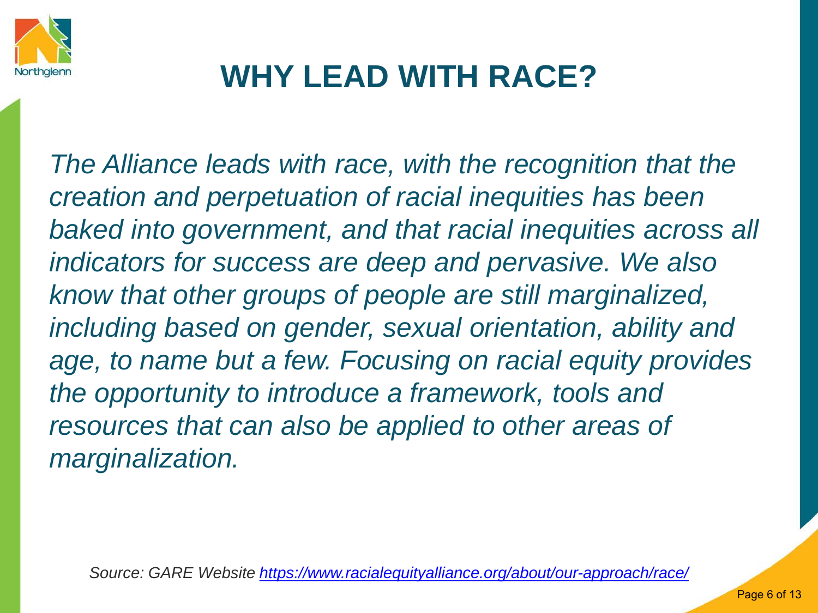

### **WHY LEAD WITH RACE?**

*The Alliance leads with race, with the recognition that the creation and perpetuation of racial inequities has been baked into government, and that racial inequities across all indicators for success are deep and pervasive. We also know that other groups of people are still marginalized, including based on gender, sexual orientation, ability and age, to name but a few. Focusing on racial equity provides the opportunity to introduce a framework, tools and resources that can also be applied to other areas of marginalization.* 

*Source: GARE Website<https://www.racialequityalliance.org/about/our-approach/race/>*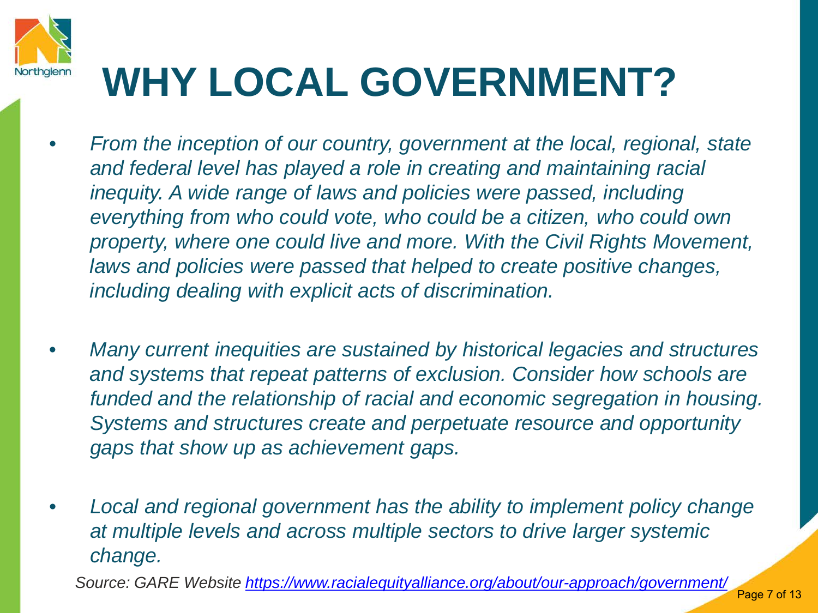

## **WHY LOCAL GOVERNMENT?**

- *From the inception of our country, government at the local, regional, state and federal level has played a role in creating and maintaining racial inequity. A wide range of laws and policies were passed, including everything from who could vote, who could be a citizen, who could own property, where one could live and more. With the Civil Rights Movement, laws and policies were passed that helped to create positive changes, including dealing with explicit acts of discrimination.*
- *Many current inequities are sustained by historical legacies and structures and systems that repeat patterns of exclusion. Consider how schools are funded and the relationship of racial and economic segregation in housing. Systems and structures create and perpetuate resource and opportunity gaps that show up as achievement gaps.*
- *Local and regional government has the ability to implement policy change at multiple levels and across multiple sectors to drive larger systemic change.*

*Source: GARE Website<https://www.racialequityalliance.org/about/our-approach/government/>*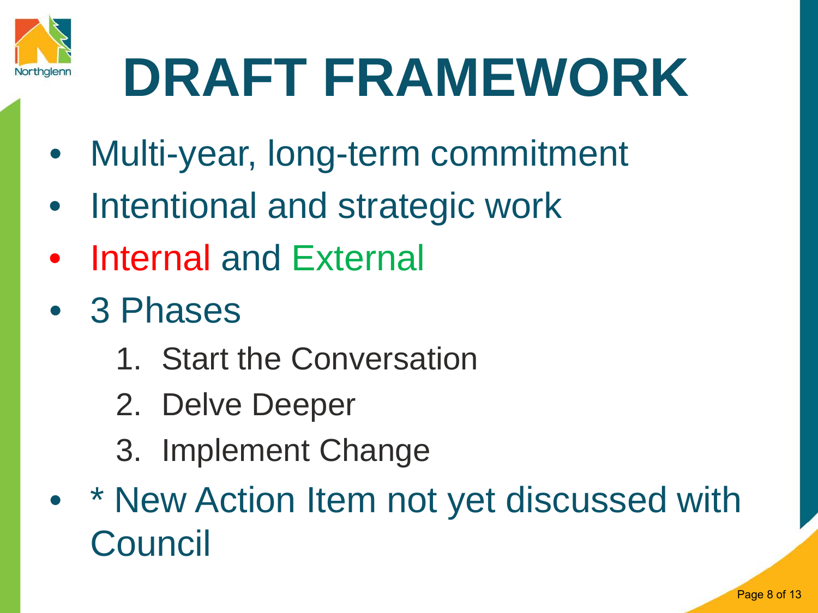

# **DRAFT FRAMEWORK**

- Multi-year, long-term commitment
- Intentional and strategic work
- **Internal and External**
- 3 Phases
	- 1. Start the Conversation
	- 2. Delve Deeper
	- 3. Implement Change
- \* New Action Item not yet discussed with Council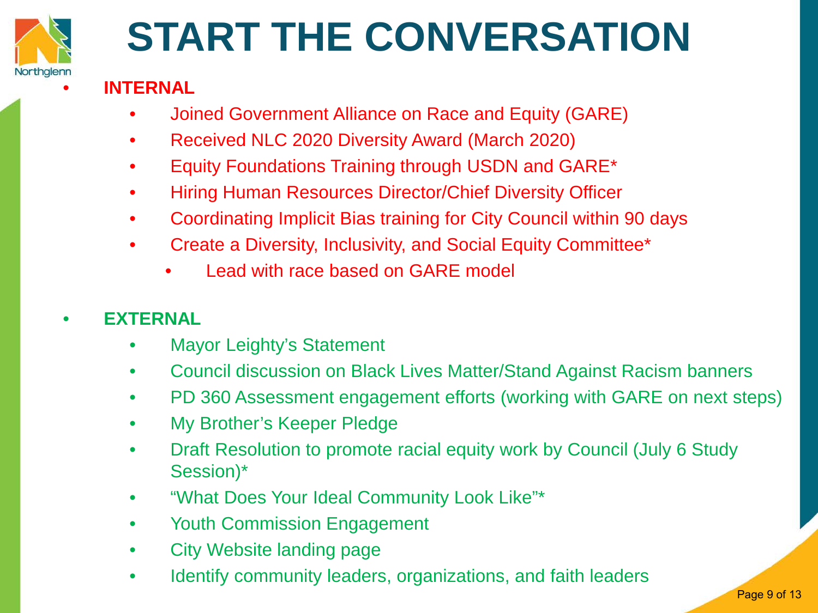

## **START THE CONVERSATION**

### • **INTERNAL**

- Joined Government Alliance on Race and Equity (GARE)
- Received NLC 2020 Diversity Award (March 2020)
- Equity Foundations Training through USDN and GARE\*
- Hiring Human Resources Director/Chief Diversity Officer
- Coordinating Implicit Bias training for City Council within 90 days
- Create a Diversity, Inclusivity, and Social Equity Committee\*
	- Lead with race based on GARE model

### • **EXTERNAL**

- Mayor Leighty's Statement
- Council discussion on Black Lives Matter/Stand Against Racism banners
- PD 360 Assessment engagement efforts (working with GARE on next steps)
- My Brother's Keeper Pledge
- Draft Resolution to promote racial equity work by Council (July 6 Study Session)\*
- "What Does Your Ideal Community Look Like"\*
- Youth Commission Engagement
- City Website landing page
- Identify community leaders, organizations, and faith leaders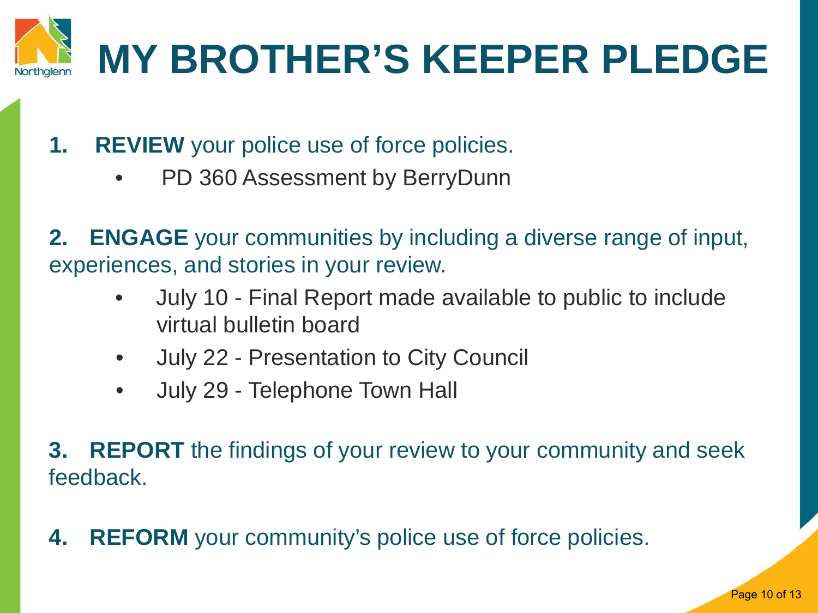

- **1. REVIEW** your police use of force policies.
	- PD 360 Assessment by BerryDunn

**2. ENGAGE** your communities by including a diverse range of input, experiences, and stories in your review.

- July 10 Final Report made available to public to include virtual bulletin board
- July 22 Presentation to City Council
- July 29 Telephone Town Hall

**3. REPORT** the findings of your review to your community and seek feedback.

**4. REFORM** your community's police use of force policies.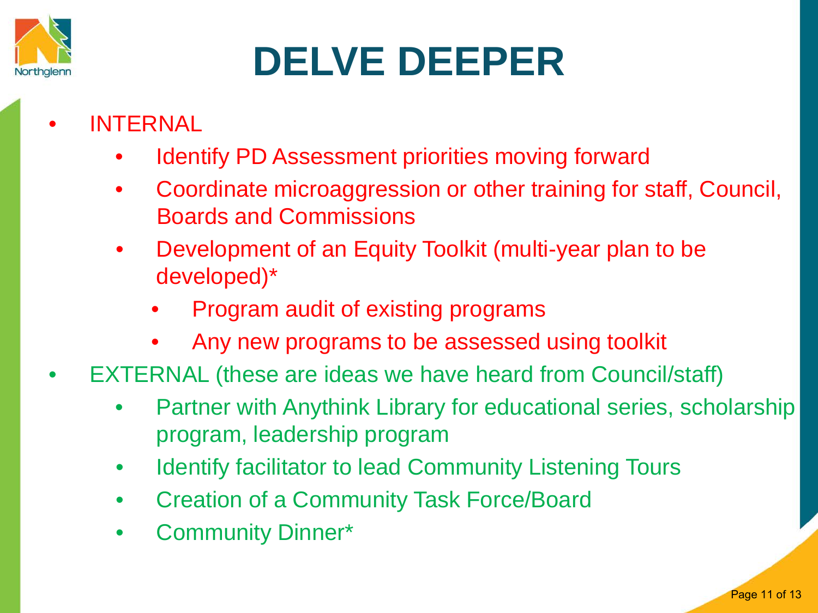

## **DELVE DEEPER**

- **INTERNAL** 
	- Identify PD Assessment priorities moving forward
	- Coordinate microaggression or other training for staff, Council, Boards and Commissions
	- Development of an Equity Toolkit (multi-year plan to be developed)\*
		- Program audit of existing programs
		- Any new programs to be assessed using toolkit
- EXTERNAL (these are ideas we have heard from Council/staff)
	- Partner with Anythink Library for educational series, scholarship program, leadership program
	- Identify facilitator to lead Community Listening Tours
	- Creation of a Community Task Force/Board
	- Community Dinner\*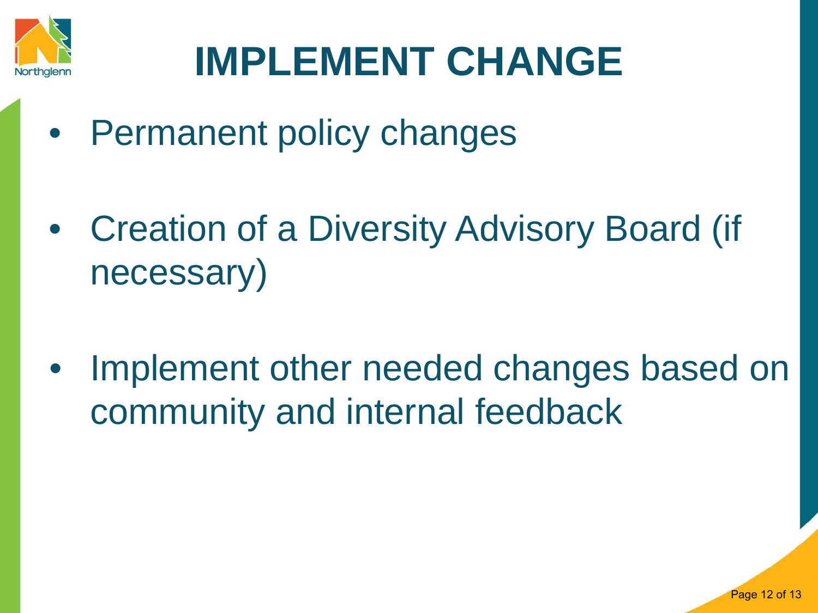

## **IMPLEMENT CHANGE**

- Permanent policy changes
- Creation of a Diversity Advisory Board (if necessary)
- Implement other needed changes based on community and internal feedback